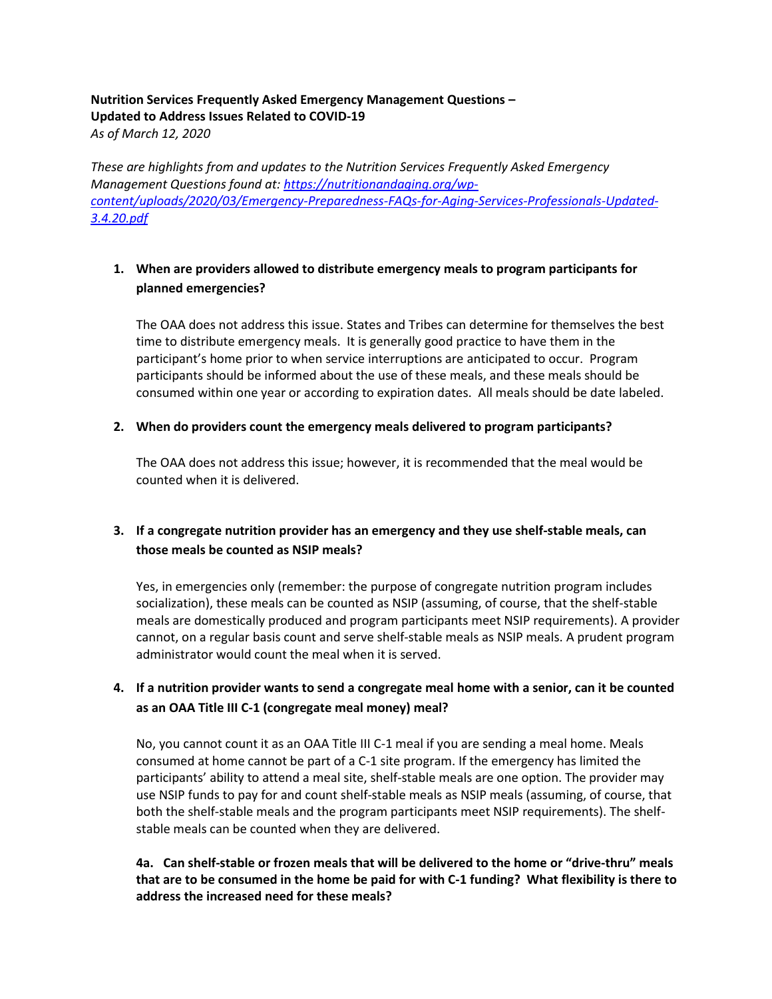# **Nutrition Services Frequently Asked Emergency Management Questions – Updated to Address Issues Related to COVID-19**

*As of March 12, 2020*

*These are highlights from and updates to the Nutrition Services Frequently Asked Emergency Management Questions found at: [https://nutritionandaging.org/wp](https://nutritionandaging.org/wp-content/uploads/2020/03/Emergency-Preparedness-FAQs-for-Aging-Services-Professionals-Updated-3.4.20.pdf)[content/uploads/2020/03/Emergency-Preparedness-FAQs-for-Aging-Services-Professionals-Updated-](https://nutritionandaging.org/wp-content/uploads/2020/03/Emergency-Preparedness-FAQs-for-Aging-Services-Professionals-Updated-3.4.20.pdf)[3.4.20.pdf](https://nutritionandaging.org/wp-content/uploads/2020/03/Emergency-Preparedness-FAQs-for-Aging-Services-Professionals-Updated-3.4.20.pdf)*

# **1. When are providers allowed to distribute emergency meals to program participants for planned emergencies?**

The OAA does not address this issue. States and Tribes can determine for themselves the best time to distribute emergency meals. It is generally good practice to have them in the participant's home prior to when service interruptions are anticipated to occur. Program participants should be informed about the use of these meals, and these meals should be consumed within one year or according to expiration dates. All meals should be date labeled.

## **2. When do providers count the emergency meals delivered to program participants?**

The OAA does not address this issue; however, it is recommended that the meal would be counted when it is delivered.

# **3. If a congregate nutrition provider has an emergency and they use shelf-stable meals, can those meals be counted as NSIP meals?**

Yes, in emergencies only (remember: the purpose of congregate nutrition program includes socialization), these meals can be counted as NSIP (assuming, of course, that the shelf-stable meals are domestically produced and program participants meet NSIP requirements). A provider cannot, on a regular basis count and serve shelf-stable meals as NSIP meals. A prudent program administrator would count the meal when it is served.

# **4. If a nutrition provider wants to send a congregate meal home with a senior, can it be counted as an OAA Title III C-1 (congregate meal money) meal?**

No, you cannot count it as an OAA Title III C-1 meal if you are sending a meal home. Meals consumed at home cannot be part of a C-1 site program. If the emergency has limited the participants' ability to attend a meal site, shelf-stable meals are one option. The provider may use NSIP funds to pay for and count shelf-stable meals as NSIP meals (assuming, of course, that both the shelf-stable meals and the program participants meet NSIP requirements). The shelfstable meals can be counted when they are delivered.

## **4a. Can shelf-stable or frozen meals that will be delivered to the home or "drive-thru" meals that are to be consumed in the home be paid for with C-1 funding? What flexibility is there to address the increased need for these meals?**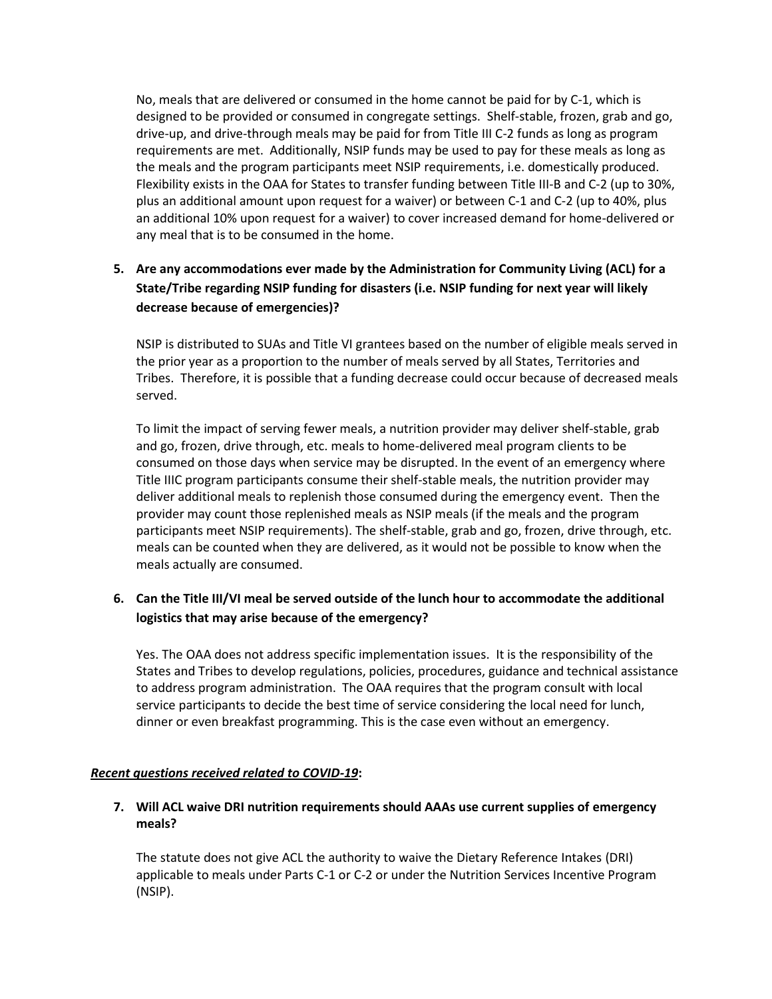No, meals that are delivered or consumed in the home cannot be paid for by C-1, which is designed to be provided or consumed in congregate settings. Shelf-stable, frozen, grab and go, drive-up, and drive-through meals may be paid for from Title III C-2 funds as long as program requirements are met. Additionally, NSIP funds may be used to pay for these meals as long as the meals and the program participants meet NSIP requirements, i.e. domestically produced. Flexibility exists in the OAA for States to transfer funding between Title III-B and C-2 (up to 30%, plus an additional amount upon request for a waiver) or between C-1 and C-2 (up to 40%, plus an additional 10% upon request for a waiver) to cover increased demand for home-delivered or any meal that is to be consumed in the home.

# **5. Are any accommodations ever made by the Administration for Community Living (ACL) for a State/Tribe regarding NSIP funding for disasters (i.e. NSIP funding for next year will likely decrease because of emergencies)?**

NSIP is distributed to SUAs and Title VI grantees based on the number of eligible meals served in the prior year as a proportion to the number of meals served by all States, Territories and Tribes. Therefore, it is possible that a funding decrease could occur because of decreased meals served.

To limit the impact of serving fewer meals, a nutrition provider may deliver shelf-stable, grab and go, frozen, drive through, etc. meals to home-delivered meal program clients to be consumed on those days when service may be disrupted. In the event of an emergency where Title IIIC program participants consume their shelf-stable meals, the nutrition provider may deliver additional meals to replenish those consumed during the emergency event. Then the provider may count those replenished meals as NSIP meals (if the meals and the program participants meet NSIP requirements). The shelf-stable, grab and go, frozen, drive through, etc. meals can be counted when they are delivered, as it would not be possible to know when the meals actually are consumed.

# **6. Can the Title III/VI meal be served outside of the lunch hour to accommodate the additional logistics that may arise because of the emergency?**

Yes. The OAA does not address specific implementation issues. It is the responsibility of the States and Tribes to develop regulations, policies, procedures, guidance and technical assistance to address program administration. The OAA requires that the program consult with local service participants to decide the best time of service considering the local need for lunch, dinner or even breakfast programming. This is the case even without an emergency.

#### *Recent questions received related to COVID-19***:**

### **7. Will ACL waive DRI nutrition requirements should AAAs use current supplies of emergency meals?**

The statute does not give ACL the authority to waive the Dietary Reference Intakes (DRI) applicable to meals under Parts C-1 or C-2 or under the Nutrition Services Incentive Program (NSIP).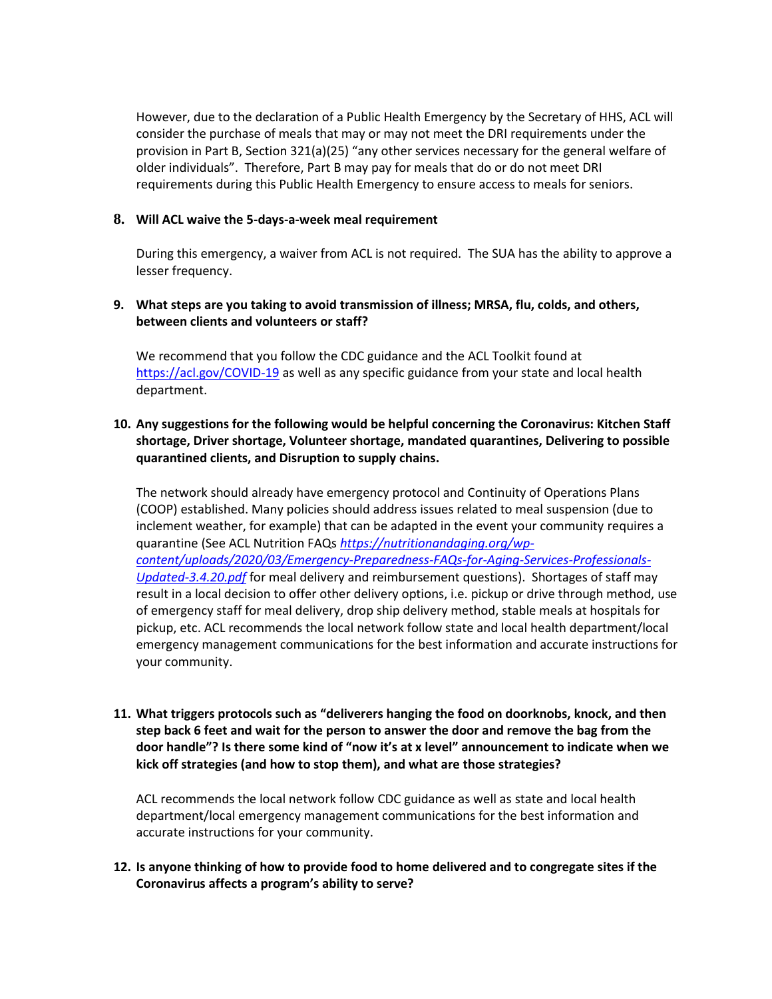However, due to the declaration of a Public Health Emergency by the Secretary of HHS, ACL will consider the purchase of meals that may or may not meet the DRI requirements under the provision in Part B, Section 321(a)(25) "any other services necessary for the general welfare of older individuals". Therefore, Part B may pay for meals that do or do not meet DRI requirements during this Public Health Emergency to ensure access to meals for seniors.

#### **8. Will ACL waive the 5-days-a-week meal requirement**

During this emergency, a waiver from ACL is not required. The SUA has the ability to approve a lesser frequency.

#### **9. What steps are you taking to avoid transmission of illness; MRSA, flu, colds, and others, between clients and volunteers or staff?**

We recommend that you follow the CDC guidance and the ACL Toolkit found at <https://acl.gov/COVID-19> as well as any specific guidance from your state and local health department.

### **10. Any suggestions for the following would be helpful concerning the Coronavirus: Kitchen Staff shortage, Driver shortage, Volunteer shortage, mandated quarantines, Delivering to possible quarantined clients, and Disruption to supply chains.**

The network should already have emergency protocol and Continuity of Operations Plans (COOP) established. Many policies should address issues related to meal suspension (due to inclement weather, for example) that can be adapted in the event your community requires a quarantine (See ACL Nutrition FAQs *[https://nutritionandaging.org/wp](https://nutritionandaging.org/wp-content/uploads/2020/03/Emergency-Preparedness-FAQs-for-Aging-Services-Professionals-Updated-3.4.20.pdf)[content/uploads/2020/03/Emergency-Preparedness-FAQs-for-Aging-Services-Professionals-](https://nutritionandaging.org/wp-content/uploads/2020/03/Emergency-Preparedness-FAQs-for-Aging-Services-Professionals-Updated-3.4.20.pdf)[Updated-3.4.20.pdf](https://nutritionandaging.org/wp-content/uploads/2020/03/Emergency-Preparedness-FAQs-for-Aging-Services-Professionals-Updated-3.4.20.pdf)* for meal delivery and reimbursement questions). Shortages of staff may result in a local decision to offer other delivery options, i.e. pickup or drive through method, use of emergency staff for meal delivery, drop ship delivery method, stable meals at hospitals for pickup, etc. ACL recommends the local network follow state and local health department/local emergency management communications for the best information and accurate instructions for your community.

**11. What triggers protocols such as "deliverers hanging the food on doorknobs, knock, and then step back 6 feet and wait for the person to answer the door and remove the bag from the door handle"? Is there some kind of "now it's at x level" announcement to indicate when we kick off strategies (and how to stop them), and what are those strategies?**

ACL recommends the local network follow CDC guidance as well as state and local health department/local emergency management communications for the best information and accurate instructions for your community.

#### **12. Is anyone thinking of how to provide food to home delivered and to congregate sites if the Coronavirus affects a program's ability to serve?**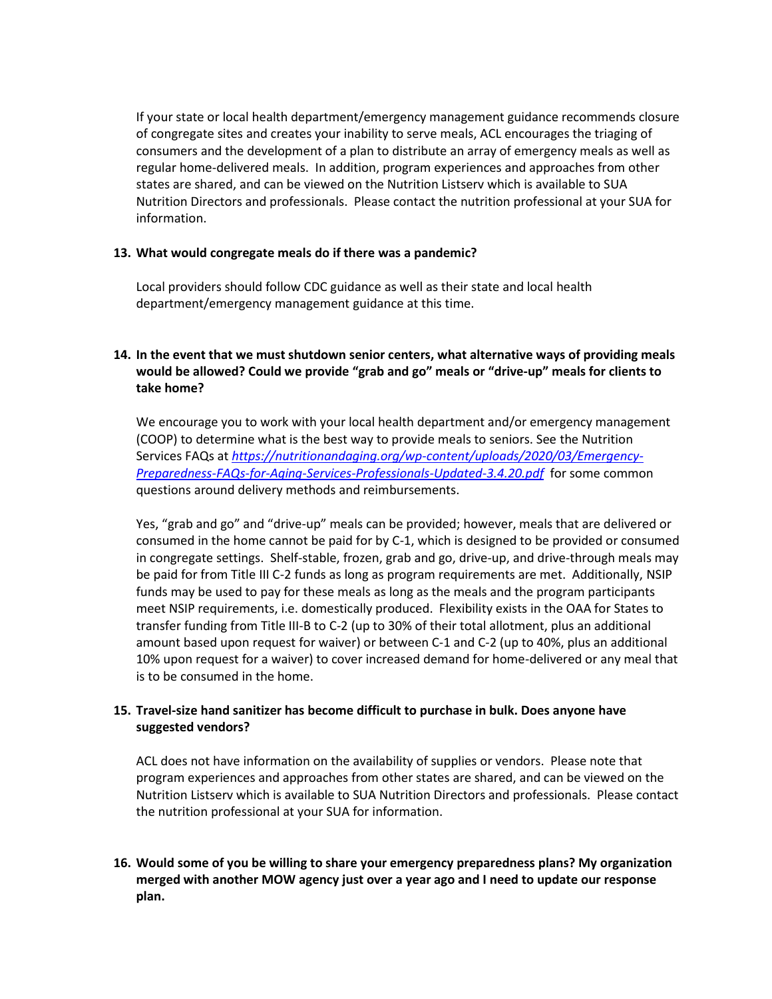If your state or local health department/emergency management guidance recommends closure of congregate sites and creates your inability to serve meals, ACL encourages the triaging of consumers and the development of a plan to distribute an array of emergency meals as well as regular home-delivered meals. In addition, program experiences and approaches from other states are shared, and can be viewed on the Nutrition Listserv which is available to SUA Nutrition Directors and professionals. Please contact the nutrition professional at your SUA for information.

#### **13. What would congregate meals do if there was a pandemic?**

Local providers should follow CDC guidance as well as their state and local health department/emergency management guidance at this time.

## **14. In the event that we must shutdown senior centers, what alternative ways of providing meals would be allowed? Could we provide "grab and go" meals or "drive-up" meals for clients to take home?**

We encourage you to work with your local health department and/or emergency management (COOP) to determine what is the best way to provide meals to seniors. See the Nutrition Services FAQs at *[https://nutritionandaging.org/wp-content/uploads/2020/03/Emergency-](https://nutritionandaging.org/wp-content/uploads/2020/03/Emergency-Preparedness-FAQs-for-Aging-Services-Professionals-Updated-3.4.20.pdf)[Preparedness-FAQs-for-Aging-Services-Professionals-Updated-3.4.20.pdf](https://nutritionandaging.org/wp-content/uploads/2020/03/Emergency-Preparedness-FAQs-for-Aging-Services-Professionals-Updated-3.4.20.pdf)* for some common questions around delivery methods and reimbursements.

Yes, "grab and go" and "drive-up" meals can be provided; however, meals that are delivered or consumed in the home cannot be paid for by C-1, which is designed to be provided or consumed in congregate settings. Shelf-stable, frozen, grab and go, drive-up, and drive-through meals may be paid for from Title III C-2 funds as long as program requirements are met. Additionally, NSIP funds may be used to pay for these meals as long as the meals and the program participants meet NSIP requirements, i.e. domestically produced. Flexibility exists in the OAA for States to transfer funding from Title III-B to C-2 (up to 30% of their total allotment, plus an additional amount based upon request for waiver) or between C-1 and C-2 (up to 40%, plus an additional 10% upon request for a waiver) to cover increased demand for home-delivered or any meal that is to be consumed in the home.

### **15. Travel-size hand sanitizer has become difficult to purchase in bulk. Does anyone have suggested vendors?**

ACL does not have information on the availability of supplies or vendors. Please note that program experiences and approaches from other states are shared, and can be viewed on the Nutrition Listserv which is available to SUA Nutrition Directors and professionals. Please contact the nutrition professional at your SUA for information.

## **16. Would some of you be willing to share your emergency preparedness plans? My organization merged with another MOW agency just over a year ago and I need to update our response plan.**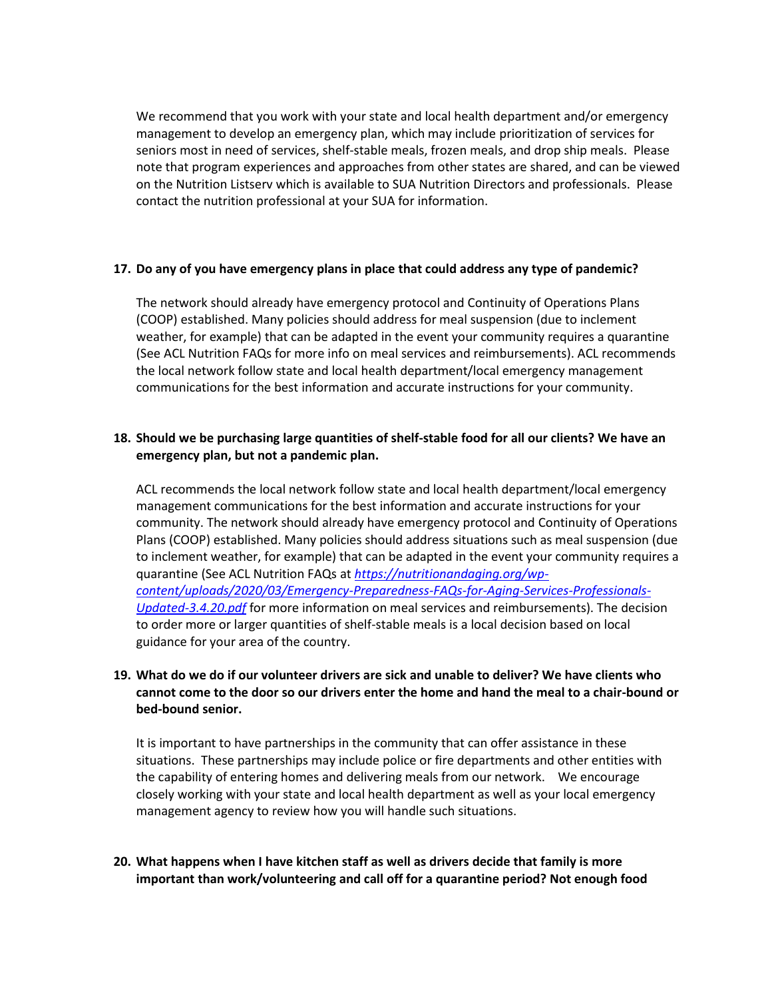We recommend that you work with your state and local health department and/or emergency management to develop an emergency plan, which may include prioritization of services for seniors most in need of services, shelf-stable meals, frozen meals, and drop ship meals. Please note that program experiences and approaches from other states are shared, and can be viewed on the Nutrition Listserv which is available to SUA Nutrition Directors and professionals. Please contact the nutrition professional at your SUA for information.

#### **17. Do any of you have emergency plans in place that could address any type of pandemic?**

The network should already have emergency protocol and Continuity of Operations Plans (COOP) established. Many policies should address for meal suspension (due to inclement weather, for example) that can be adapted in the event your community requires a quarantine (See ACL Nutrition FAQs for more info on meal services and reimbursements). ACL recommends the local network follow state and local health department/local emergency management communications for the best information and accurate instructions for your community.

### **18. Should we be purchasing large quantities of shelf-stable food for all our clients? We have an emergency plan, but not a pandemic plan.**

ACL recommends the local network follow state and local health department/local emergency management communications for the best information and accurate instructions for your community. The network should already have emergency protocol and Continuity of Operations Plans (COOP) established. Many policies should address situations such as meal suspension (due to inclement weather, for example) that can be adapted in the event your community requires a quarantine (See ACL Nutrition FAQs at *[https://nutritionandaging.org/wp](https://nutritionandaging.org/wp-content/uploads/2020/03/Emergency-Preparedness-FAQs-for-Aging-Services-Professionals-Updated-3.4.20.pdf)[content/uploads/2020/03/Emergency-Preparedness-FAQs-for-Aging-Services-Professionals-](https://nutritionandaging.org/wp-content/uploads/2020/03/Emergency-Preparedness-FAQs-for-Aging-Services-Professionals-Updated-3.4.20.pdf)[Updated-3.4.20.pdf](https://nutritionandaging.org/wp-content/uploads/2020/03/Emergency-Preparedness-FAQs-for-Aging-Services-Professionals-Updated-3.4.20.pdf)* for more information on meal services and reimbursements). The decision to order more or larger quantities of shelf-stable meals is a local decision based on local guidance for your area of the country.

## **19. What do we do if our volunteer drivers are sick and unable to deliver? We have clients who cannot come to the door so our drivers enter the home and hand the meal to a chair-bound or bed-bound senior.**

It is important to have partnerships in the community that can offer assistance in these situations. These partnerships may include police or fire departments and other entities with the capability of entering homes and delivering meals from our network. We encourage closely working with your state and local health department as well as your local emergency management agency to review how you will handle such situations.

### **20. What happens when I have kitchen staff as well as drivers decide that family is more important than work/volunteering and call off for a quarantine period? Not enough food**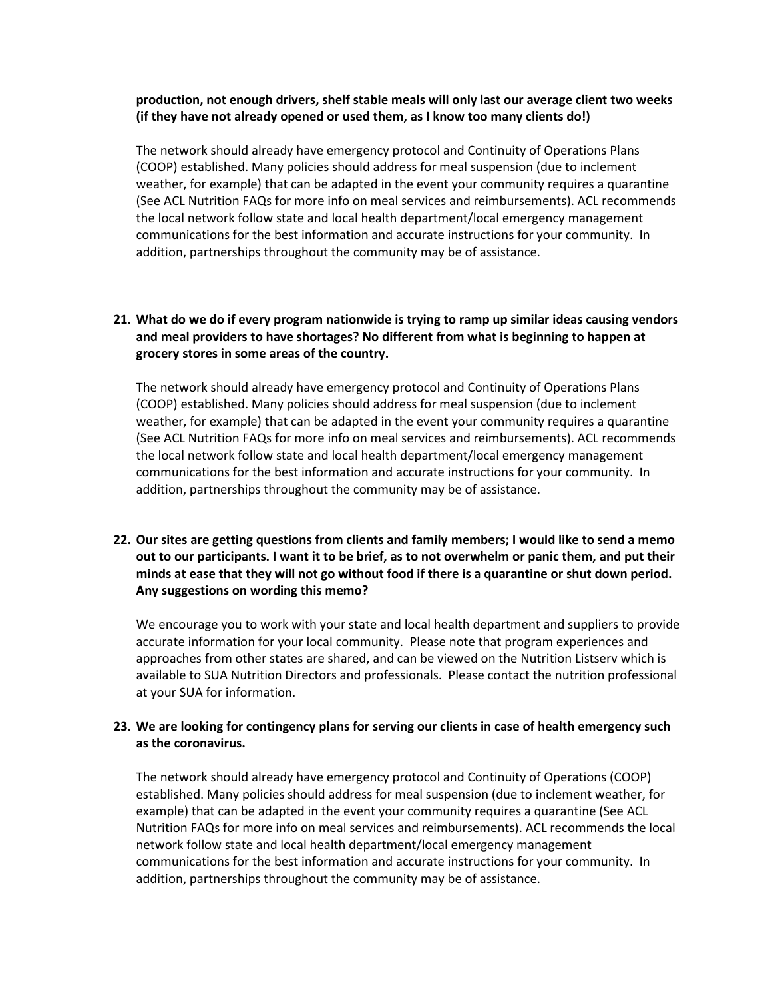#### **production, not enough drivers, shelf stable meals will only last our average client two weeks (if they have not already opened or used them, as I know too many clients do!)**

The network should already have emergency protocol and Continuity of Operations Plans (COOP) established. Many policies should address for meal suspension (due to inclement weather, for example) that can be adapted in the event your community requires a quarantine (See ACL Nutrition FAQs for more info on meal services and reimbursements). ACL recommends the local network follow state and local health department/local emergency management communications for the best information and accurate instructions for your community. In addition, partnerships throughout the community may be of assistance.

## **21. What do we do if every program nationwide is trying to ramp up similar ideas causing vendors and meal providers to have shortages? No different from what is beginning to happen at grocery stores in some areas of the country.**

The network should already have emergency protocol and Continuity of Operations Plans (COOP) established. Many policies should address for meal suspension (due to inclement weather, for example) that can be adapted in the event your community requires a quarantine (See ACL Nutrition FAQs for more info on meal services and reimbursements). ACL recommends the local network follow state and local health department/local emergency management communications for the best information and accurate instructions for your community. In addition, partnerships throughout the community may be of assistance.

## **22. Our sites are getting questions from clients and family members; I would like to send a memo out to our participants. I want it to be brief, as to not overwhelm or panic them, and put their minds at ease that they will not go without food if there is a quarantine or shut down period. Any suggestions on wording this memo?**

We encourage you to work with your state and local health department and suppliers to provide accurate information for your local community. Please note that program experiences and approaches from other states are shared, and can be viewed on the Nutrition Listserv which is available to SUA Nutrition Directors and professionals. Please contact the nutrition professional at your SUA for information.

### **23. We are looking for contingency plans for serving our clients in case of health emergency such as the coronavirus.**

The network should already have emergency protocol and Continuity of Operations (COOP) established. Many policies should address for meal suspension (due to inclement weather, for example) that can be adapted in the event your community requires a quarantine (See ACL Nutrition FAQs for more info on meal services and reimbursements). ACL recommends the local network follow state and local health department/local emergency management communications for the best information and accurate instructions for your community. In addition, partnerships throughout the community may be of assistance.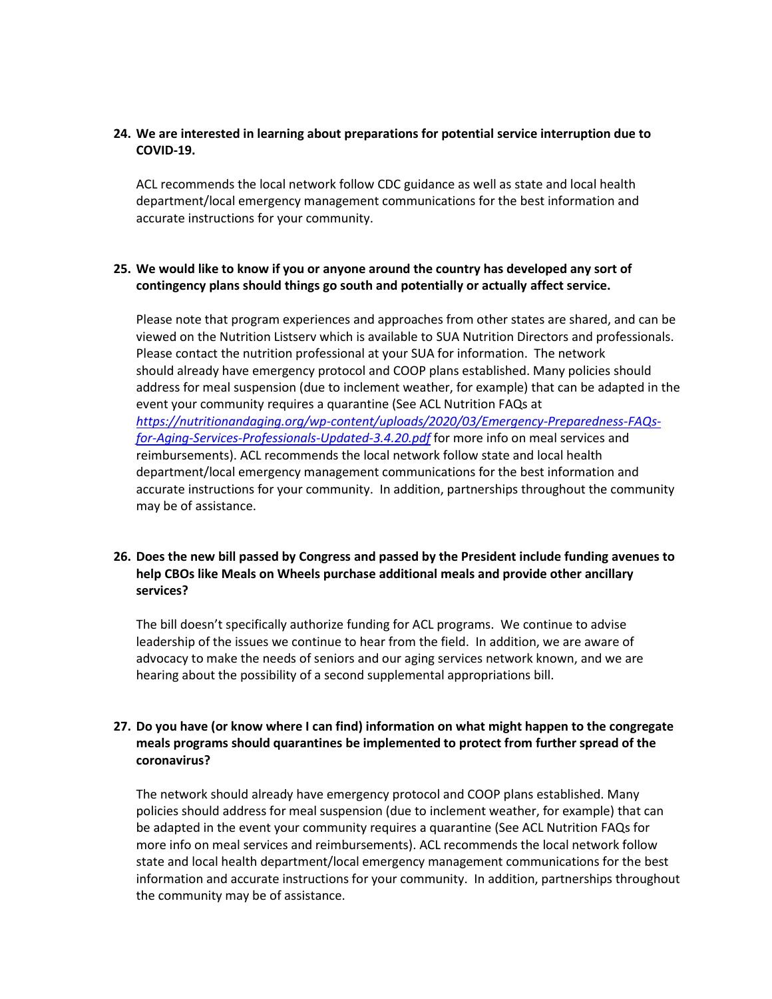#### **24. We are interested in learning about preparations for potential service interruption due to COVID-19.**

ACL recommends the local network follow CDC guidance as well as state and local health department/local emergency management communications for the best information and accurate instructions for your community.

### **25. We would like to know if you or anyone around the country has developed any sort of contingency plans should things go south and potentially or actually affect service.**

Please note that program experiences and approaches from other states are shared, and can be viewed on the Nutrition Listserv which is available to SUA Nutrition Directors and professionals. Please contact the nutrition professional at your SUA for information. The network should already have emergency protocol and COOP plans established. Many policies should address for meal suspension (due to inclement weather, for example) that can be adapted in the event your community requires a quarantine (See ACL Nutrition FAQs at *[https://nutritionandaging.org/wp-content/uploads/2020/03/Emergency-Preparedness-FAQs](https://nutritionandaging.org/wp-content/uploads/2020/03/Emergency-Preparedness-FAQs-for-Aging-Services-Professionals-Updated-3.4.20.pdf)[for-Aging-Services-Professionals-Updated-3.4.20.pdf](https://nutritionandaging.org/wp-content/uploads/2020/03/Emergency-Preparedness-FAQs-for-Aging-Services-Professionals-Updated-3.4.20.pdf)* for more info on meal services and reimbursements). ACL recommends the local network follow state and local health department/local emergency management communications for the best information and accurate instructions for your community. In addition, partnerships throughout the community may be of assistance.

## **26. Does the new bill passed by Congress and passed by the President include funding avenues to help CBOs like Meals on Wheels purchase additional meals and provide other ancillary services?**

The bill doesn't specifically authorize funding for ACL programs. We continue to advise leadership of the issues we continue to hear from the field. In addition, we are aware of advocacy to make the needs of seniors and our aging services network known, and we are hearing about the possibility of a second supplemental appropriations bill.

## **27. Do you have (or know where I can find) information on what might happen to the congregate meals programs should quarantines be implemented to protect from further spread of the coronavirus?**

The network should already have emergency protocol and COOP plans established. Many policies should address for meal suspension (due to inclement weather, for example) that can be adapted in the event your community requires a quarantine (See ACL Nutrition FAQs for more info on meal services and reimbursements). ACL recommends the local network follow state and local health department/local emergency management communications for the best information and accurate instructions for your community. In addition, partnerships throughout the community may be of assistance.